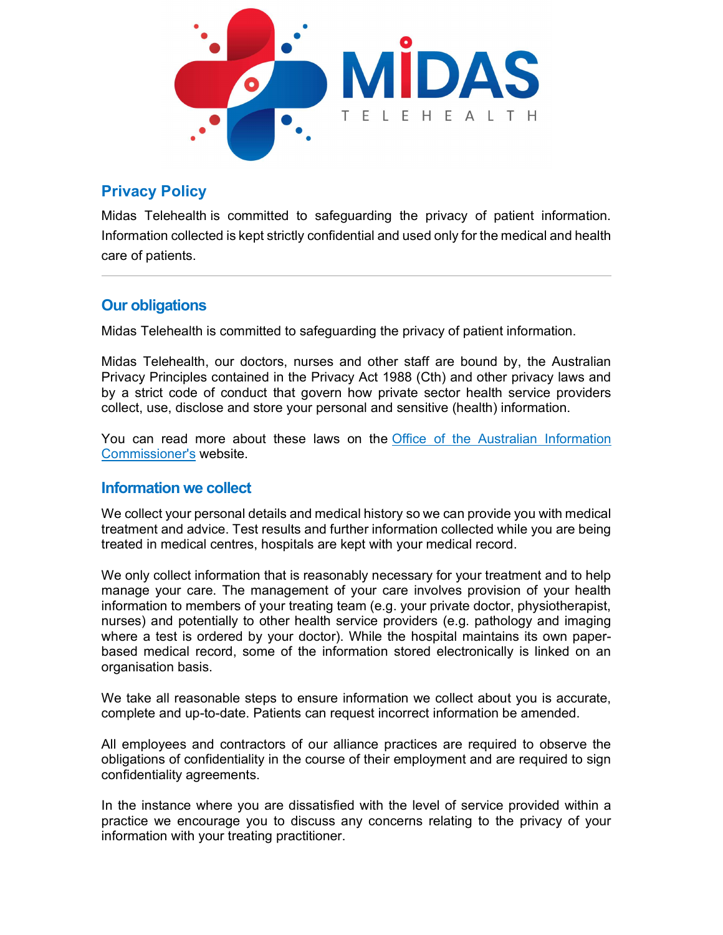

# Privacy Policy

Midas Telehealth is committed to safeguarding the privacy of patient information. Information collected is kept strictly confidential and used only for the medical and health care of patients.

## Our obligations

Midas Telehealth is committed to safeguarding the privacy of patient information.

Midas Telehealth, our doctors, nurses and other staff are bound by, the Australian Privacy Principles contained in the Privacy Act 1988 (Cth) and other privacy laws and by a strict code of conduct that govern how private sector health service providers collect, use, disclose and store your personal and sensitive (health) information.

You can read more about these laws on the Office of the Australian Information Commissioner's website.

#### Information we collect

We collect your personal details and medical history so we can provide you with medical treatment and advice. Test results and further information collected while you are being treated in medical centres, hospitals are kept with your medical record.

We only collect information that is reasonably necessary for your treatment and to help manage your care. The management of your care involves provision of your health information to members of your treating team (e.g. your private doctor, physiotherapist, nurses) and potentially to other health service providers (e.g. pathology and imaging where a test is ordered by your doctor). While the hospital maintains its own paperbased medical record, some of the information stored electronically is linked on an organisation basis.

We take all reasonable steps to ensure information we collect about you is accurate, complete and up-to-date. Patients can request incorrect information be amended.

All employees and contractors of our alliance practices are required to observe the obligations of confidentiality in the course of their employment and are required to sign confidentiality agreements.

In the instance where you are dissatisfied with the level of service provided within a practice we encourage you to discuss any concerns relating to the privacy of your information with your treating practitioner.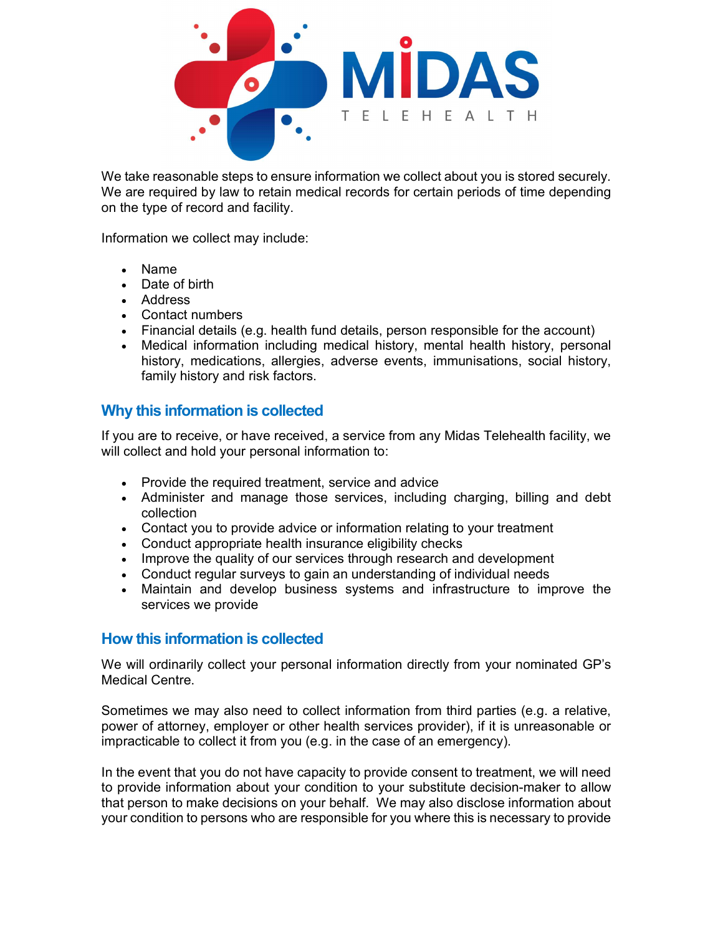

 We take reasonable steps to ensure information we collect about you is stored securely. We are required by law to retain medical records for certain periods of time depending on the type of record and facility.

Information we collect may include:

- Name
- Date of birth
- Address
- Contact numbers
- Financial details (e.g. health fund details, person responsible for the account)
- Medical information including medical history, mental health history, personal history, medications, allergies, adverse events, immunisations, social history, family history and risk factors.

### Why this information is collected

If you are to receive, or have received, a service from any Midas Telehealth facility, we will collect and hold your personal information to:

- Provide the required treatment, service and advice
- Administer and manage those services, including charging, billing and debt collection
- Contact you to provide advice or information relating to your treatment
- Conduct appropriate health insurance eligibility checks
- Improve the quality of our services through research and development
- Conduct regular surveys to gain an understanding of individual needs
- Maintain and develop business systems and infrastructure to improve the services we provide

#### How this information is collected

We will ordinarily collect your personal information directly from your nominated GP's Medical Centre.

Sometimes we may also need to collect information from third parties (e.g. a relative, power of attorney, employer or other health services provider), if it is unreasonable or impracticable to collect it from you (e.g. in the case of an emergency).

In the event that you do not have capacity to provide consent to treatment, we will need to provide information about your condition to your substitute decision-maker to allow that person to make decisions on your behalf. We may also disclose information about your condition to persons who are responsible for you where this is necessary to provide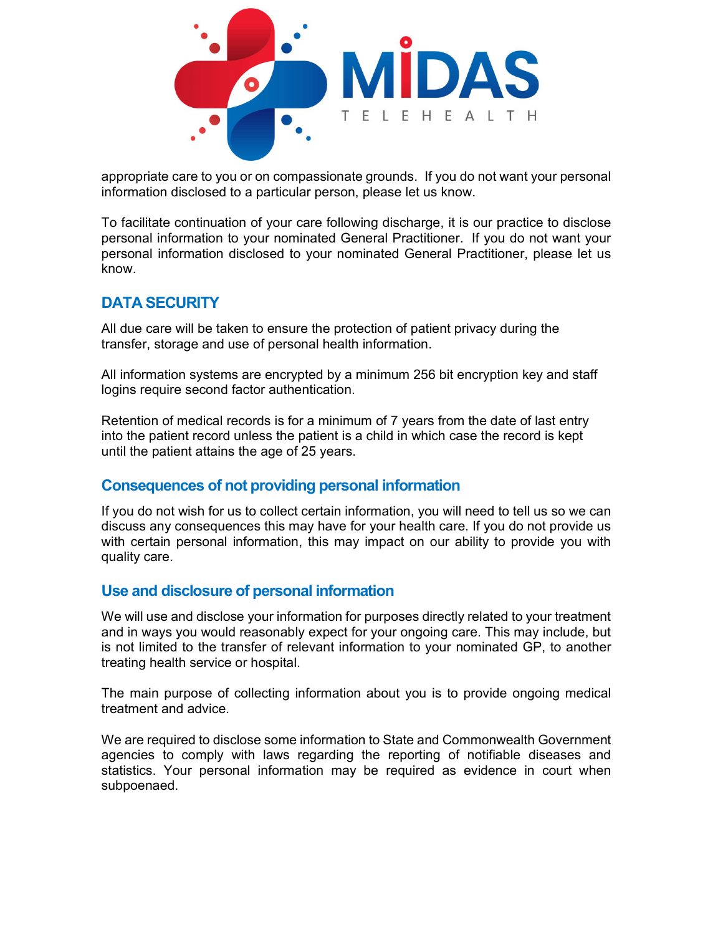

appropriate care to you or on compassionate grounds. If you do not want your personal information disclosed to a particular person, please let us know.

To facilitate continuation of your care following discharge, it is our practice to disclose personal information to your nominated General Practitioner. If you do not want your personal information disclosed to your nominated General Practitioner, please let us know.

## DATA SECURITY

All due care will be taken to ensure the protection of patient privacy during the transfer, storage and use of personal health information.

All information systems are encrypted by a minimum 256 bit encryption key and staff logins require second factor authentication.

Retention of medical records is for a minimum of 7 years from the date of last entry into the patient record unless the patient is a child in which case the record is kept until the patient attains the age of 25 years.

#### Consequences of not providing personal information

If you do not wish for us to collect certain information, you will need to tell us so we can discuss any consequences this may have for your health care. If you do not provide us with certain personal information, this may impact on our ability to provide you with quality care.

#### Use and disclosure of personal information

We will use and disclose your information for purposes directly related to your treatment and in ways you would reasonably expect for your ongoing care. This may include, but is not limited to the transfer of relevant information to your nominated GP, to another treating health service or hospital.

The main purpose of collecting information about you is to provide ongoing medical treatment and advice.

We are required to disclose some information to State and Commonwealth Government agencies to comply with laws regarding the reporting of notifiable diseases and statistics. Your personal information may be required as evidence in court when subpoenaed.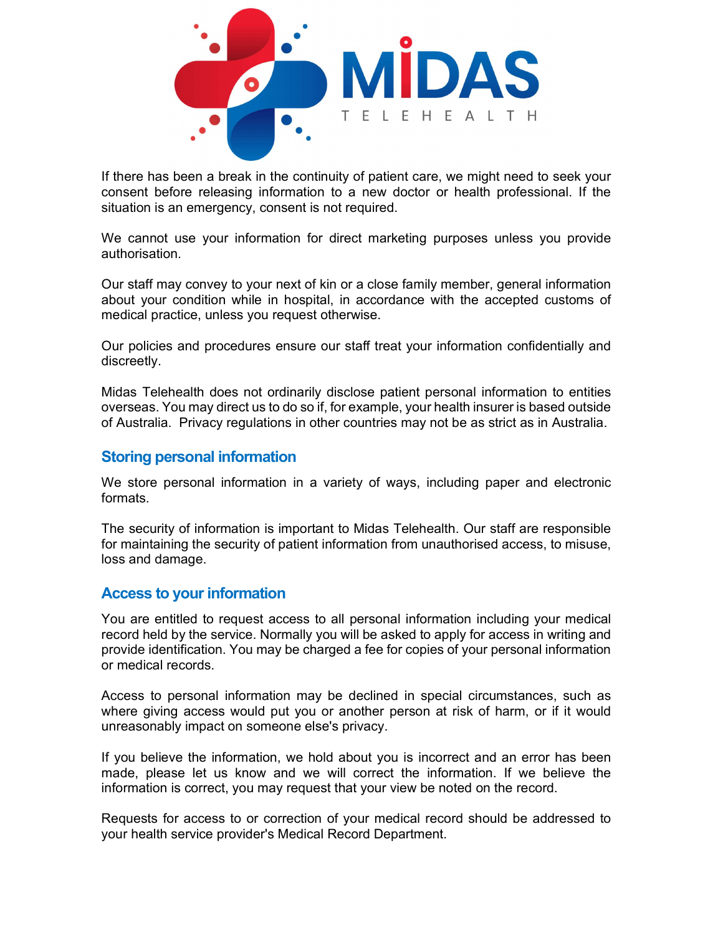

If there has been a break in the continuity of patient care, we might need to seek your consent before releasing information to a new doctor or health professional. If the situation is an emergency, consent is not required.

We cannot use your information for direct marketing purposes unless you provide authorisation.

Our staff may convey to your next of kin or a close family member, general information about your condition while in hospital, in accordance with the accepted customs of medical practice, unless you request otherwise.

Our policies and procedures ensure our staff treat your information confidentially and discreetly.

Midas Telehealth does not ordinarily disclose patient personal information to entities overseas. You may direct us to do so if, for example, your health insurer is based outside of Australia. Privacy regulations in other countries may not be as strict as in Australia.

### Storing personal information

We store personal information in a variety of ways, including paper and electronic formats.

The security of information is important to Midas Telehealth. Our staff are responsible for maintaining the security of patient information from unauthorised access, to misuse, loss and damage.

#### Access to your information

You are entitled to request access to all personal information including your medical record held by the service. Normally you will be asked to apply for access in writing and provide identification. You may be charged a fee for copies of your personal information or medical records.

Access to personal information may be declined in special circumstances, such as where giving access would put you or another person at risk of harm, or if it would unreasonably impact on someone else's privacy.

If you believe the information, we hold about you is incorrect and an error has been made, please let us know and we will correct the information. If we believe the information is correct, you may request that your view be noted on the record.

Requests for access to or correction of your medical record should be addressed to your health service provider's Medical Record Department.